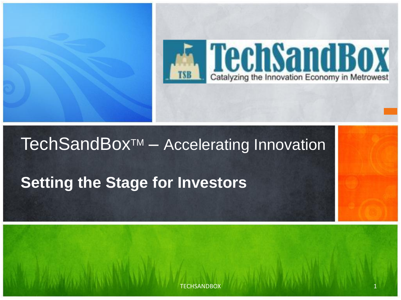

#### TechSandBox<sup>™</sup> – Accelerating Innovation

### **Setting the Stage for Investors**

**TECHSANDBOX**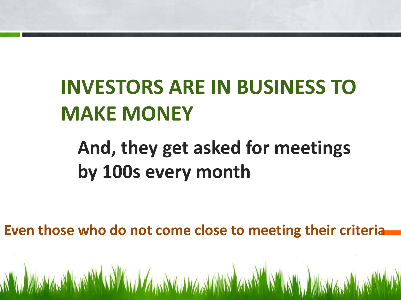#### $\overline{a}$ **INVESTORS ARE IN BUSINESS TO MAKE MONEY**

# **And, they get asked for meetings by 100s every month**

**Even those who do not come close to meeting their criteria**

2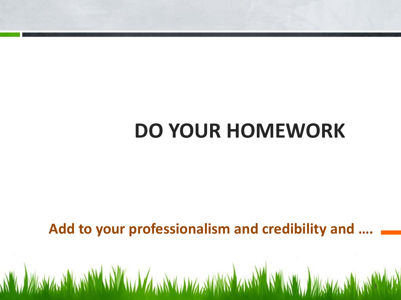# **DO YOUR HOMEWORK**

l

**Add to your professionalism and credibility and ….**

A WALKA A WARAWA A WA WA WARA WARA WA WARA WA WALKA WA WA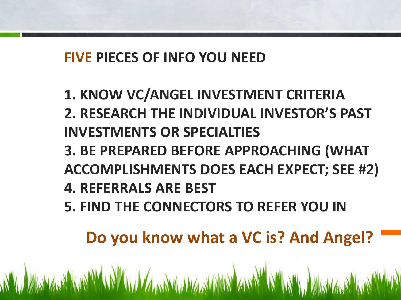#### **FIVE PIECES OF INFO YOU NEED**

- **1. KNOW VC/ANGEL INVESTMENT CRITERIA**
- **2. RESEARCH THE INDIVIDUAL INVESTOR'S PAST INVESTMENTS OR SPECIALTIES**
- **3. BE PREPARED BEFORE APPROACHING (WHAT ACCOMPLISHMENTS DOES EACH EXPECT; SEE #2)**
- **4. REFERRALS ARE BEST**

A THE REPORT OF A THE REAL AND THE REAL AND THE REAL AND THE REAL AND THE REAL AND THE REAL AND THE REAL AND T

**5. FIND THE CONNECTORS TO REFER YOU IN**

**Do you know what a VC is? And Angel?**

l

A WASHAWAN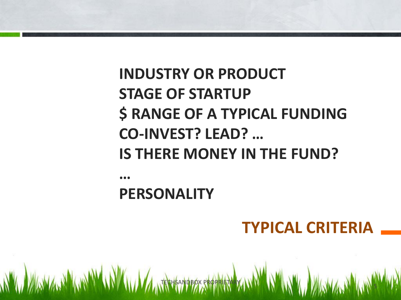## **INDUSTRY OR PRODUCT STAGE OF STARTUP \$ RANGE OF A TYPICAL FUNDING CO-INVEST? LEAD? … IS THERE MONEY IN THE FUND?**

**…**

#### **PERSONALITY**

N'W YAWA, NYAWIN'IN AU YA, TECHANDEZ EROPREN AWAY NYAYA YA YAWA, NYAWA, NY

### **TYPICAL CRITERIA**

l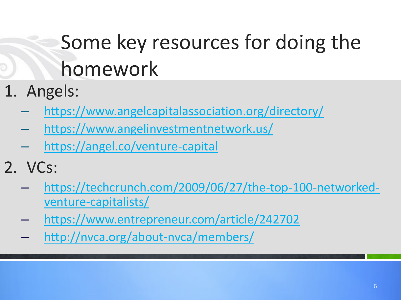# Some key resources for doing the homework

- 1. Angels:
	- <https://www.angelcapitalassociation.org/directory/>
	- <https://www.angelinvestmentnetwork.us/>
	- <https://angel.co/venture-capital>
- 2. VCs:
	- [https://techcrunch.com/2009/06/27/the-top-100-networked](https://techcrunch.com/2009/06/27/the-top-100-networked-venture-capitalists/)[venture-capitalists/](https://techcrunch.com/2009/06/27/the-top-100-networked-venture-capitalists/)
	- <https://www.entrepreneur.com/article/242702>
	- <http://nvca.org/about-nvca/members/>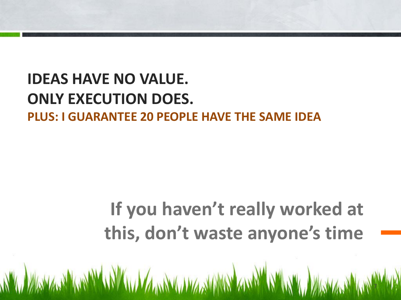### **PLUS: I GUARANTEE 20 PEOPLE HAVE THE SAME IDEAIDEAS HAVE NO VALUE. ONLY EXECUTION DOES.**

# **If you haven't really worked at this, don't waste anyone's time**

7

l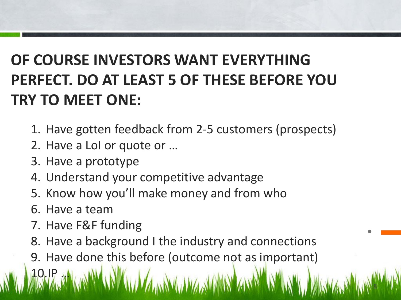## **OF COURSE INVESTORS WANT EVERYTHING PERFECT. DO AT LEAST 5 OF THESE BEFORE YOU TRY TO MEET ONE:**

- 1. Have gotten feedback from 2-5 customers (prospects)
- 2. Have a LoI or quote or …
- 3. Have a prototype
- 4. Understand your competitive advantage
- 5. Know how you'll make money and from who
- 6. Have a team

10.IP …

- 7. Have F&F funding
- 8. Have a background I the industry and connections

l

.

8

9. Have done this before (outcome not as important)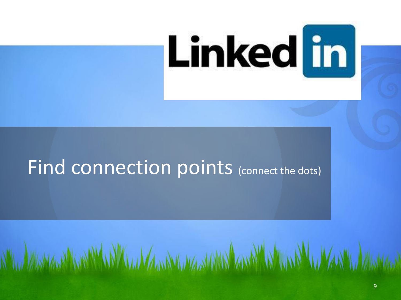

# Find connection points (connect the dots)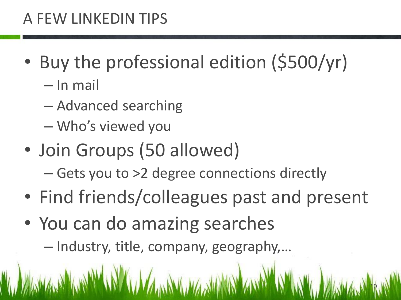#### A FEW LINKEDIN TIPS

- Buy the professional edition (\$500/yr)
	- In mail
	- Advanced searching
	- Who's viewed you
- Join Groups (50 allowed)
	- Gets you to >2 degree connections directly
- Find friends/colleagues past and present

10

- You can do amazing searches
	- Industry, title, company, geography,…